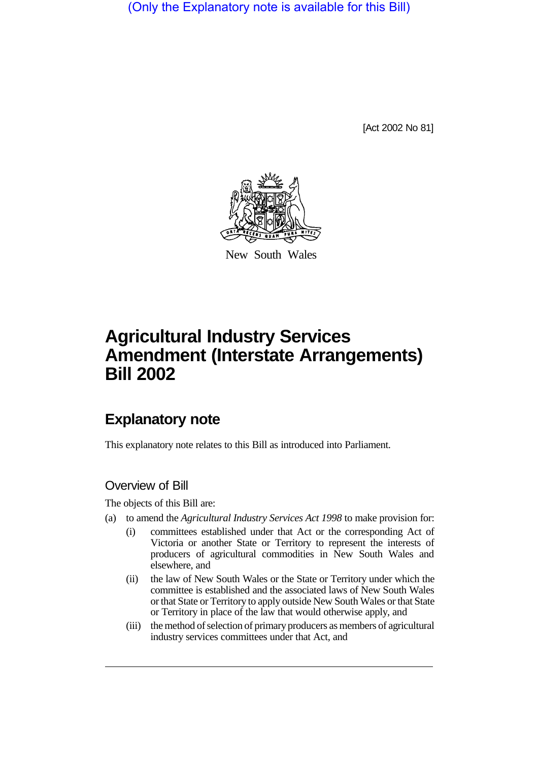(Only the Explanatory note is available for this Bill)

[Act 2002 No 81]



New South Wales

# **Agricultural Industry Services Amendment (Interstate Arrangements) Bill 2002**

## **Explanatory note**

This explanatory note relates to this Bill as introduced into Parliament.

#### Overview of Bill

The objects of this Bill are:

- (a) to amend the *Agricultural Industry Services Act 1998* to make provision for:
	- (i) committees established under that Act or the corresponding Act of Victoria or another State or Territory to represent the interests of producers of agricultural commodities in New South Wales and elsewhere, and
	- (ii) the law of New South Wales or the State or Territory under which the committee is established and the associated laws of New South Wales or that State or Territory to apply outside New South Wales or that State or Territory in place of the law that would otherwise apply, and
	- (iii) the method of selection of primary producers as members of agricultural industry services committees under that Act, and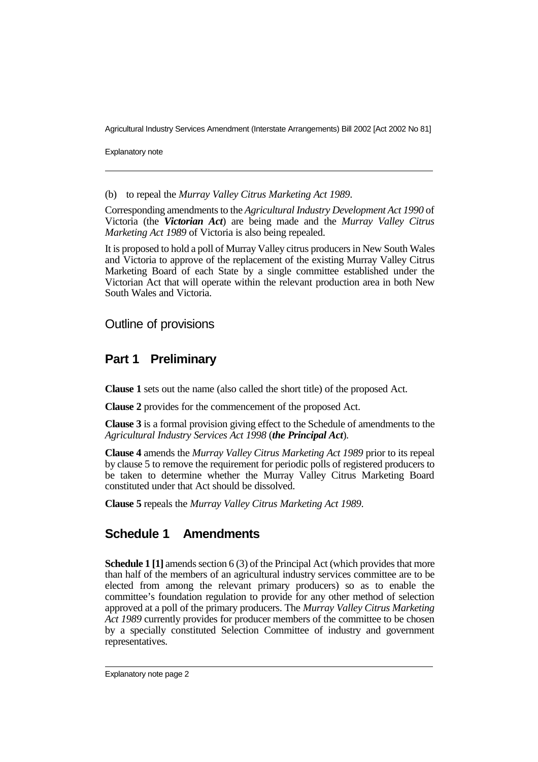Agricultural Industry Services Amendment (Interstate Arrangements) Bill 2002 [Act 2002 No 81]

Explanatory note

(b) to repeal the *Murray Valley Citrus Marketing Act 1989*.

Corresponding amendments to the *Agricultural Industry Development Act 1990* of Victoria (the *Victorian Act*) are being made and the *Murray Valley Citrus Marketing Act 1989* of Victoria is also being repealed.

It is proposed to hold a poll of Murray Valley citrus producers in New South Wales and Victoria to approve of the replacement of the existing Murray Valley Citrus Marketing Board of each State by a single committee established under the Victorian Act that will operate within the relevant production area in both New South Wales and Victoria.

Outline of provisions

### **Part 1 Preliminary**

**Clause 1** sets out the name (also called the short title) of the proposed Act.

**Clause 2** provides for the commencement of the proposed Act.

**Clause 3** is a formal provision giving effect to the Schedule of amendments to the *Agricultural Industry Services Act 1998* (*the Principal Act*).

**Clause 4** amends the *Murray Valley Citrus Marketing Act 1989* prior to its repeal by clause 5 to remove the requirement for periodic polls of registered producers to be taken to determine whether the Murray Valley Citrus Marketing Board constituted under that Act should be dissolved.

**Clause 5** repeals the *Murray Valley Citrus Marketing Act 1989*.

## **Schedule 1 Amendments**

**Schedule 1** [1] amends section 6 (3) of the Principal Act (which provides that more than half of the members of an agricultural industry services committee are to be elected from among the relevant primary producers) so as to enable the committee's foundation regulation to provide for any other method of selection approved at a poll of the primary producers. The *Murray Valley Citrus Marketing Act 1989* currently provides for producer members of the committee to be chosen by a specially constituted Selection Committee of industry and government representatives.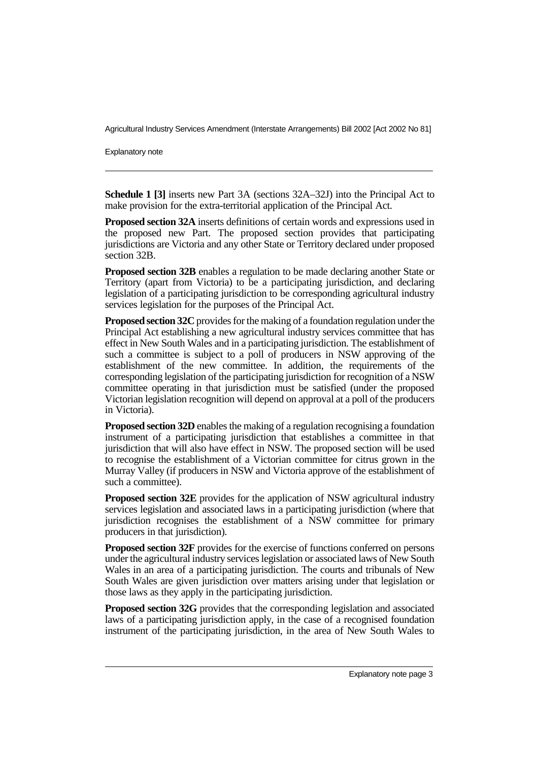Agricultural Industry Services Amendment (Interstate Arrangements) Bill 2002 [Act 2002 No 81]

Explanatory note

**Schedule 1 [3]** inserts new Part 3A (sections 32A–32J) into the Principal Act to make provision for the extra-territorial application of the Principal Act.

**Proposed section 32A** inserts definitions of certain words and expressions used in the proposed new Part. The proposed section provides that participating jurisdictions are Victoria and any other State or Territory declared under proposed section 32B.

**Proposed section 32B** enables a regulation to be made declaring another State or Territory (apart from Victoria) to be a participating jurisdiction, and declaring legislation of a participating jurisdiction to be corresponding agricultural industry services legislation for the purposes of the Principal Act.

**Proposed section 32C** provides for the making of a foundation regulation under the Principal Act establishing a new agricultural industry services committee that has effect in New South Wales and in a participating jurisdiction. The establishment of such a committee is subject to a poll of producers in NSW approving of the establishment of the new committee. In addition, the requirements of the corresponding legislation of the participating jurisdiction for recognition of a NSW committee operating in that jurisdiction must be satisfied (under the proposed Victorian legislation recognition will depend on approval at a poll of the producers in Victoria).

**Proposed section 32D** enables the making of a regulation recognising a foundation instrument of a participating jurisdiction that establishes a committee in that jurisdiction that will also have effect in NSW. The proposed section will be used to recognise the establishment of a Victorian committee for citrus grown in the Murray Valley (if producers in NSW and Victoria approve of the establishment of such a committee).

**Proposed section 32E** provides for the application of NSW agricultural industry services legislation and associated laws in a participating jurisdiction (where that jurisdiction recognises the establishment of a NSW committee for primary producers in that jurisdiction).

**Proposed section 32F** provides for the exercise of functions conferred on persons under the agricultural industry services legislation or associated laws of New South Wales in an area of a participating jurisdiction. The courts and tribunals of New South Wales are given jurisdiction over matters arising under that legislation or those laws as they apply in the participating jurisdiction.

**Proposed section 32G** provides that the corresponding legislation and associated laws of a participating jurisdiction apply, in the case of a recognised foundation instrument of the participating jurisdiction, in the area of New South Wales to